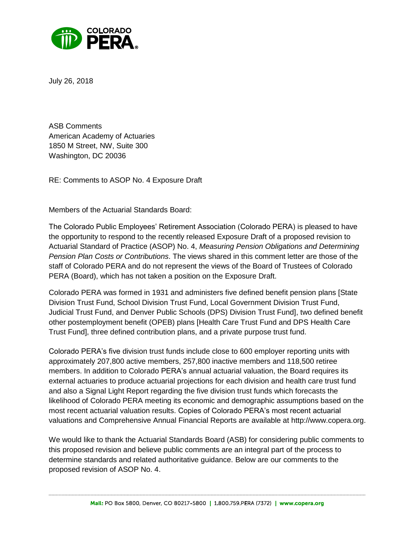

July 26, 2018

ASB Comments American Academy of Actuaries 1850 M Street, NW, Suite 300 Washington, DC 20036

RE: Comments to ASOP No. 4 Exposure Draft

Members of the Actuarial Standards Board:

The Colorado Public Employees' Retirement Association (Colorado PERA) is pleased to have the opportunity to respond to the recently released Exposure Draft of a proposed revision to Actuarial Standard of Practice (ASOP) No. 4, *Measuring Pension Obligations and Determining Pension Plan Costs or Contributions*. The views shared in this comment letter are those of the staff of Colorado PERA and do not represent the views of the Board of Trustees of Colorado PERA (Board), which has not taken a position on the Exposure Draft.

Colorado PERA was formed in 1931 and administers five defined benefit pension plans [State Division Trust Fund, School Division Trust Fund, Local Government Division Trust Fund, Judicial Trust Fund, and Denver Public Schools (DPS) Division Trust Fund], two defined benefit other postemployment benefit (OPEB) plans [Health Care Trust Fund and DPS Health Care Trust Fund], three defined contribution plans, and a private purpose trust fund.

Colorado PERA's five division trust funds include close to 600 employer reporting units with approximately 207,800 active members, 257,800 inactive members and 118,500 retiree members. In addition to Colorado PERA's annual actuarial valuation, the Board requires its external actuaries to produce actuarial projections for each division and health care trust fund and also a Signal Light Report regarding the five division trust funds which forecasts the likelihood of Colorado PERA meeting its economic and demographic assumptions based on the most recent actuarial valuation results. Copies of Colorado PERA's most recent actuarial valuations and Comprehensive Annual Financial Reports are available at http://www.copera.org.

We would like to thank the Actuarial Standards Board (ASB) for considering public comments to this proposed revision and believe public comments are an integral part of the process to determine standards and related authoritative guidance. Below are our comments to the proposed revision of ASOP No. 4.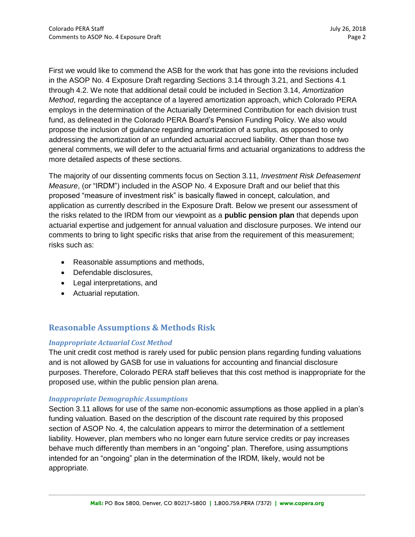First we would like to commend the ASB for the work that has gone into the revisions included in the ASOP No. 4 Exposure Draft regarding Sections 3.14 through 3.21, and Sections 4.1 through 4.2. We note that additional detail could be included in Section 3.14, *Amortization Method*, regarding the acceptance of a layered amortization approach, which Colorado PERA employs in the determination of the Actuarially Determined Contribution for each division trust fund, as delineated in the Colorado PERA Board's Pension Funding Policy. We also would propose the inclusion of guidance regarding amortization of a surplus, as opposed to only addressing the amortization of an unfunded actuarial accrued liability. Other than those two general comments, we will defer to the actuarial firms and actuarial organizations to address the more detailed aspects of these sections.

The majority of our dissenting comments focus on Section 3.11, *Investment Risk Defeasement Measure*, (or "IRDM") included in the ASOP No. 4 Exposure Draft and our belief that this proposed "measure of investment risk" is basically flawed in concept, calculation, and application as currently described in the Exposure Draft. Below we present our assessment of the risks related to the IRDM from our viewpoint as a **public pension plan** that depends upon actuarial expertise and judgement for annual valuation and disclosure purposes. We intend our comments to bring to light specific risks that arise from the requirement of this measurement; risks such as:

- Reasonable assumptions and methods,
- Defendable disclosures,
- Legal interpretations, and
- Actuarial reputation.

# **Reasonable Assumptions & Methods Risk**

## *Inappropriate Actuarial Cost Method*

The unit credit cost method is rarely used for public pension plans regarding funding valuations and is not allowed by GASB for use in valuations for accounting and financial disclosure purposes. Therefore, Colorado PERA staff believes that this cost method is inappropriate for the proposed use, within the public pension plan arena.

## *Inappropriate Demographic Assumptions*

Section 3.11 allows for use of the same non-economic assumptions as those applied in a plan's funding valuation. Based on the description of the discount rate required by this proposed section of ASOP No. 4, the calculation appears to mirror the determination of a settlement liability. However, plan members who no longer earn future service credits or pay increases behave much differently than members in an "ongoing" plan. Therefore, using assumptions intended for an "ongoing" plan in the determination of the IRDM, likely, would not be appropriate.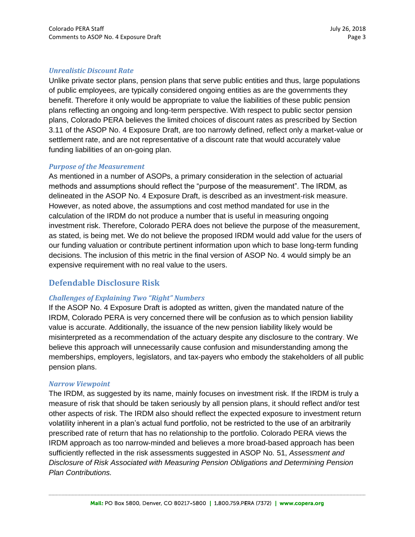## *Unrealistic Discount Rate*

Unlike private sector plans, pension plans that serve public entities and thus, large populations of public employees, are typically considered ongoing entities as are the governments they benefit. Therefore it only would be appropriate to value the liabilities of these public pension plans reflecting an ongoing and long-term perspective. With respect to public sector pension plans, Colorado PERA believes the limited choices of discount rates as prescribed by Section 3.11 of the ASOP No. 4 Exposure Draft, are too narrowly defined, reflect only a market-value or settlement rate, and are not representative of a discount rate that would accurately value funding liabilities of an on-going plan.

#### *Purpose of the Measurement*

As mentioned in a number of ASOPs, a primary consideration in the selection of actuarial methods and assumptions should reflect the "purpose of the measurement". The IRDM, as delineated in the ASOP No. 4 Exposure Draft, is described as an investment-risk measure. However, as noted above, the assumptions and cost method mandated for use in the calculation of the IRDM do not produce a number that is useful in measuring ongoing investment risk. Therefore, Colorado PERA does not believe the purpose of the measurement, as stated, is being met. We do not believe the proposed IRDM would add value for the users of our funding valuation or contribute pertinent information upon which to base long-term funding decisions. The inclusion of this metric in the final version of ASOP No. 4 would simply be an expensive requirement with no real value to the users.

# **Defendable Disclosure Risk**

## *Challenges of Explaining Two "Right" Numbers*

If the ASOP No. 4 Exposure Draft is adopted as written, given the mandated nature of the IRDM, Colorado PERA is very concerned there will be confusion as to which pension liability value is accurate. Additionally, the issuance of the new pension liability likely would be misinterpreted as a recommendation of the actuary despite any disclosure to the contrary. We believe this approach will unnecessarily cause confusion and misunderstanding among the memberships, employers, legislators, and tax-payers who embody the stakeholders of all public pension plans.

#### *Narrow Viewpoint*

The IRDM, as suggested by its name, mainly focuses on investment risk. If the IRDM is truly a measure of risk that should be taken seriously by all pension plans, it should reflect and/or test other aspects of risk. The IRDM also should reflect the expected exposure to investment return volatility inherent in a plan's actual fund portfolio, not be restricted to the use of an arbitrarily prescribed rate of return that has no relationship to the portfolio. Colorado PERA views the IRDM approach as too narrow-minded and believes a more broad-based approach has been sufficiently reflected in the risk assessments suggested in ASOP No. 51, *Assessment and Disclosure of Risk Associated with Measuring Pension Obligations and Determining Pension Plan Contributions.*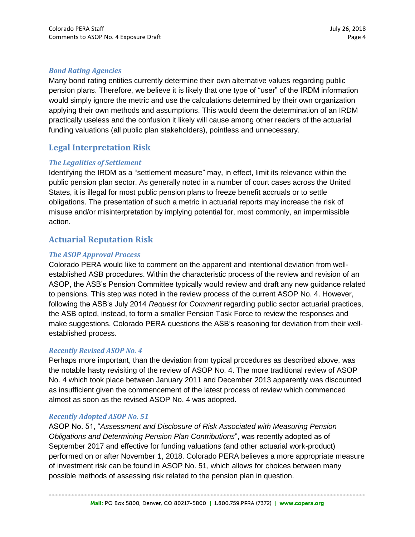# *Bond Rating Agencies*

Many bond rating entities currently determine their own alternative values regarding public pension plans. Therefore, we believe it is likely that one type of "user" of the IRDM information would simply ignore the metric and use the calculations determined by their own organization applying their own methods and assumptions. This would deem the determination of an IRDM practically useless and the confusion it likely will cause among other readers of the actuarial funding valuations (all public plan stakeholders), pointless and unnecessary.

# **Legal Interpretation Risk**

## *The Legalities of Settlement*

Identifying the IRDM as a "settlement measure" may, in effect, limit its relevance within the public pension plan sector. As generally noted in a number of court cases across the United States, it is illegal for most public pension plans to freeze benefit accruals or to settle obligations. The presentation of such a metric in actuarial reports may increase the risk of misuse and/or misinterpretation by implying potential for, most commonly, an impermissible action.

# **Actuarial Reputation Risk**

# *The ASOP Approval Process*

Colorado PERA would like to comment on the apparent and intentional deviation from wellestablished ASB procedures. Within the characteristic process of the review and revision of an ASOP, the ASB's Pension Committee typically would review and draft any new guidance related to pensions. This step was noted in the review process of the current ASOP No. 4. However, following the ASB's July 2014 *Request for Comment* regarding public sector actuarial practices, the ASB opted, instead, to form a smaller Pension Task Force to review the responses and make suggestions. Colorado PERA questions the ASB's reasoning for deviation from their wellestablished process.

## *Recently Revised ASOP No. 4*

Perhaps more important, than the deviation from typical procedures as described above, was the notable hasty revisiting of the review of ASOP No. 4. The more traditional review of ASOP No. 4 which took place between January 2011 and December 2013 apparently was discounted as insufficient given the commencement of the latest process of review which commenced almost as soon as the revised ASOP No. 4 was adopted.

## *Recently Adopted ASOP No. 51*

ASOP No. 51, "*Assessment and Disclosure of Risk Associated with Measuring Pension Obligations and Determining Pension Plan Contributions*", was recently adopted as of September 2017 and effective for funding valuations (and other actuarial work-product) performed on or after November 1, 2018. Colorado PERA believes a more appropriate measure of investment risk can be found in ASOP No. 51, which allows for choices between many possible methods of assessing risk related to the pension plan in question.